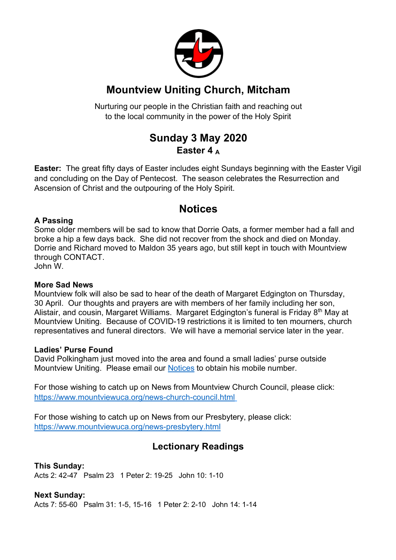

## **Mountview Uniting Church, Mitcham**

Nurturing our people in the Christian faith and reaching out to the local community in the power of the Holy Spirit

## **Sunday 3 May 2020 Easter 4 <sup>A</sup>**

**Easter:** The great fifty days of Easter includes eight Sundays beginning with the Easter Vigil and concluding on the Day of Pentecost. The season celebrates the Resurrection and Ascension of Christ and the outpouring of the Holy Spirit.

## **Notices**

#### **A Passing**

Some older members will be sad to know that Dorrie Oats, a former member had a fall and broke a hip a few days back. She did not recover from the shock and died on Monday. Dorrie and Richard moved to Maldon 35 years ago, but still kept in touch with Mountview through CONTACT.

John W.

#### **More Sad News**

Mountview folk will also be sad to hear of the death of Margaret Edgington on Thursday, 30 April. Our thoughts and prayers are with members of her family including her son, Alistair, and cousin, Margaret Williams. Margaret Edgington's funeral is Friday 8<sup>th</sup> May at Mountview Uniting. Because of COVID-19 restrictions it is limited to ten mourners, church representatives and funeral directors. We will have a memorial service later in the year.

#### **Ladies' Purse Found**

David Polkingham just moved into the area and found a small ladies' purse outside Mountview Uniting. Please email our Notices to obtain his mobile number.

For those wishing to catch up on News from Mountview Church Council, please click: https://www.mountviewuca.org/news-church-council.html

For those wishing to catch up on News from our Presbytery, please click: https://www.mountviewuca.org/news-presbytery.html

### **Lectionary Readings**

**This Sunday:** Acts 2: 42-47 Psalm 23 1 Peter 2: 19-25 John 10: 1-10

**Next Sunday:** Acts 7: 55-60 Psalm 31: 1-5, 15-16 1 Peter 2: 2-10 John 14: 1-14